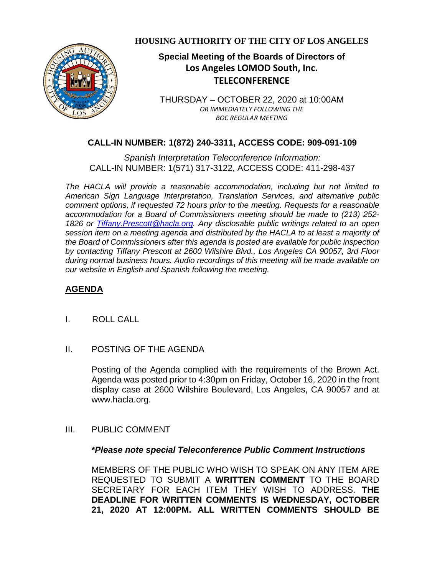

**HOUSING AUTHORITY OF THE CITY OF LOS ANGELES**

# **Special Meeting of the Boards of Directors of Los Angeles LOMOD South, Inc. TELECONFERENCE**

THURSDAY – OCTOBER 22, 2020 at 10:00AM *OR IMMEDIATELY FOLLOWING THE BOC REGULAR MEETING*

## **CALL-IN NUMBER: 1(872) 240-3311, ACCESS CODE: 909-091-109**

*Spanish Interpretation Teleconference Information:* CALL-IN NUMBER: 1(571) 317-3122, ACCESS CODE: 411-298-437

*The HACLA will provide a reasonable accommodation, including but not limited to American Sign Language Interpretation, Translation Services, and alternative public comment options, if requested 72 hours prior to the meeting. Requests for a reasonable accommodation for a Board of Commissioners meeting should be made to (213) 252- 1826 or Tiffany.Prescott@hacla.org. Any disclosable public writings related to an open session item on a meeting agenda and distributed by the HACLA to at least a majority of the Board of Commissioners after this agenda is posted are available for public inspection by contacting Tiffany Prescott at 2600 Wilshire Blvd., Los Angeles CA 90057, 3rd Floor during normal business hours. Audio recordings of this meeting will be made available on our website in English and Spanish following the meeting.*

### **AGENDA**

- I. ROLL CALL
- II. POSTING OF THE AGENDA

Posting of the Agenda complied with the requirements of the Brown Act. Agenda was posted prior to 4:30pm on Friday, October 16, 2020 in the front display case at 2600 Wilshire Boulevard, Los Angeles, CA 90057 and at [www.hacla.org.](http://www.hacla.org/)

III. PUBLIC COMMENT

#### **\****Please note special Teleconference Public Comment Instructions*

MEMBERS OF THE PUBLIC WHO WISH TO SPEAK ON ANY ITEM ARE REQUESTED TO SUBMIT A **WRITTEN COMMENT** TO THE BOARD SECRETARY FOR EACH ITEM THEY WISH TO ADDRESS. **THE DEADLINE FOR WRITTEN COMMENTS IS WEDNESDAY, OCTOBER 21, 2020 AT 12:00PM. ALL WRITTEN COMMENTS SHOULD BE**